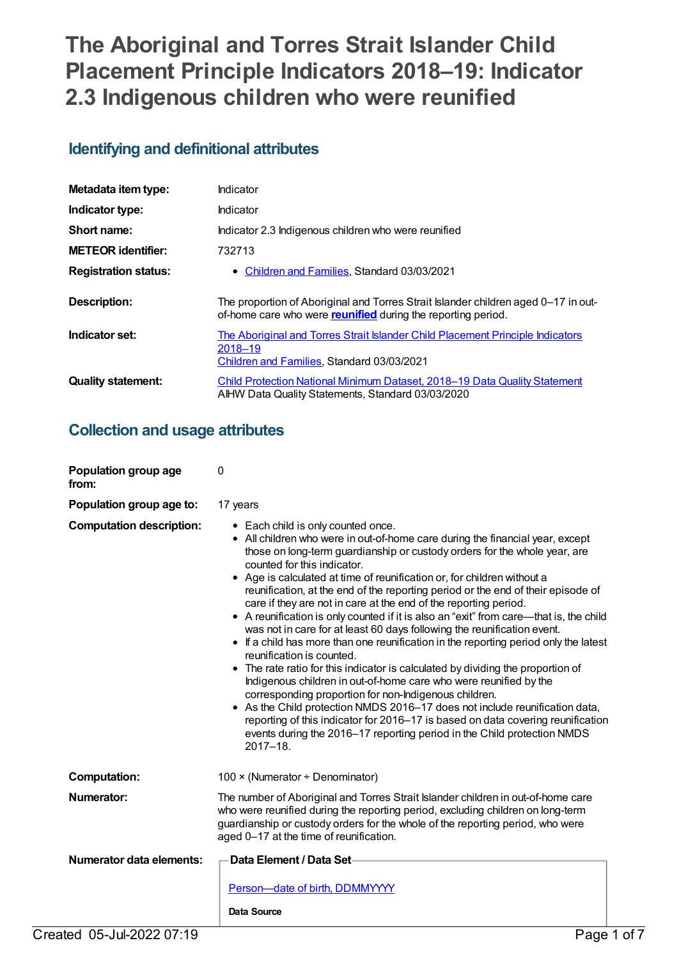# **The Aboriginal and Torres Strait Islander Child Placement Principle Indicators 2018–19: Indicator 2.3 Indigenous children who were reunified**

## **Identifying and definitional attributes**

| Metadata item type:         | Indicator                                                                                                                                                 |
|-----------------------------|-----------------------------------------------------------------------------------------------------------------------------------------------------------|
| Indicator type:             | Indicator                                                                                                                                                 |
| Short name:                 | Indicator 2.3 Indigenous children who were reunified                                                                                                      |
| <b>METEOR identifier:</b>   | 732713                                                                                                                                                    |
| <b>Registration status:</b> | • Children and Families, Standard 03/03/2021                                                                                                              |
| Description:                | The proportion of Aboriginal and Torres Strait Islander children aged 0-17 in out-<br>of-home care who were <b>reunified</b> during the reporting period. |
| Indicator set:              | The Aboriginal and Torres Strait Islander Child Placement Principle Indicators<br>2018-19<br>Children and Families, Standard 03/03/2021                   |
| <b>Quality statement:</b>   | Child Protection National Minimum Dataset. 2018–19 Data Quality Statement<br>AIHW Data Quality Statements, Standard 03/03/2020                            |

## **Collection and usage attributes**

| Population group age<br>from:   | 0                                                                                                                                                                                                                                                                                                                                                                                                                                                                                                                                                                                                                                                                                                                                                                                                                                                                                                                                                                                                                                                                                                                                                                                                                                          |  |
|---------------------------------|--------------------------------------------------------------------------------------------------------------------------------------------------------------------------------------------------------------------------------------------------------------------------------------------------------------------------------------------------------------------------------------------------------------------------------------------------------------------------------------------------------------------------------------------------------------------------------------------------------------------------------------------------------------------------------------------------------------------------------------------------------------------------------------------------------------------------------------------------------------------------------------------------------------------------------------------------------------------------------------------------------------------------------------------------------------------------------------------------------------------------------------------------------------------------------------------------------------------------------------------|--|
| Population group age to:        | 17 years                                                                                                                                                                                                                                                                                                                                                                                                                                                                                                                                                                                                                                                                                                                                                                                                                                                                                                                                                                                                                                                                                                                                                                                                                                   |  |
| <b>Computation description:</b> | • Each child is only counted once.<br>• All children who were in out-of-home care during the financial year, except<br>those on long-term guardianship or custody orders for the whole year, are<br>counted for this indicator.<br>• Age is calculated at time of reunification or, for children without a<br>reunification, at the end of the reporting period or the end of their episode of<br>care if they are not in care at the end of the reporting period.<br>• A reunification is only counted if it is also an "exit" from care-that is, the child<br>was not in care for at least 60 days following the reunification event.<br>• If a child has more than one reunification in the reporting period only the latest<br>reunification is counted.<br>• The rate ratio for this indicator is calculated by dividing the proportion of<br>Indigenous children in out-of-home care who were reunified by the<br>corresponding proportion for non-Indigenous children.<br>• As the Child protection NMDS 2016-17 does not include reunification data,<br>reporting of this indicator for 2016-17 is based on data covering reunification<br>events during the 2016-17 reporting period in the Child protection NMDS<br>$2017 - 18.$ |  |
| <b>Computation:</b>             | 100 $\times$ (Numerator ÷ Denominator)                                                                                                                                                                                                                                                                                                                                                                                                                                                                                                                                                                                                                                                                                                                                                                                                                                                                                                                                                                                                                                                                                                                                                                                                     |  |
| <b>Numerator:</b>               | The number of Aboriginal and Torres Strait Islander children in out-of-home care<br>who were reunified during the reporting period, excluding children on long-term<br>guardianship or custody orders for the whole of the reporting period, who were<br>aged 0-17 at the time of reunification.                                                                                                                                                                                                                                                                                                                                                                                                                                                                                                                                                                                                                                                                                                                                                                                                                                                                                                                                           |  |
| <b>Numerator data elements:</b> | Data Element / Data Set-                                                                                                                                                                                                                                                                                                                                                                                                                                                                                                                                                                                                                                                                                                                                                                                                                                                                                                                                                                                                                                                                                                                                                                                                                   |  |
|                                 | Person-date of birth, DDMMYYYY<br>Data Source                                                                                                                                                                                                                                                                                                                                                                                                                                                                                                                                                                                                                                                                                                                                                                                                                                                                                                                                                                                                                                                                                                                                                                                              |  |
| Created 05-Jul-2022 07:19       | Page 1 of 7                                                                                                                                                                                                                                                                                                                                                                                                                                                                                                                                                                                                                                                                                                                                                                                                                                                                                                                                                                                                                                                                                                                                                                                                                                |  |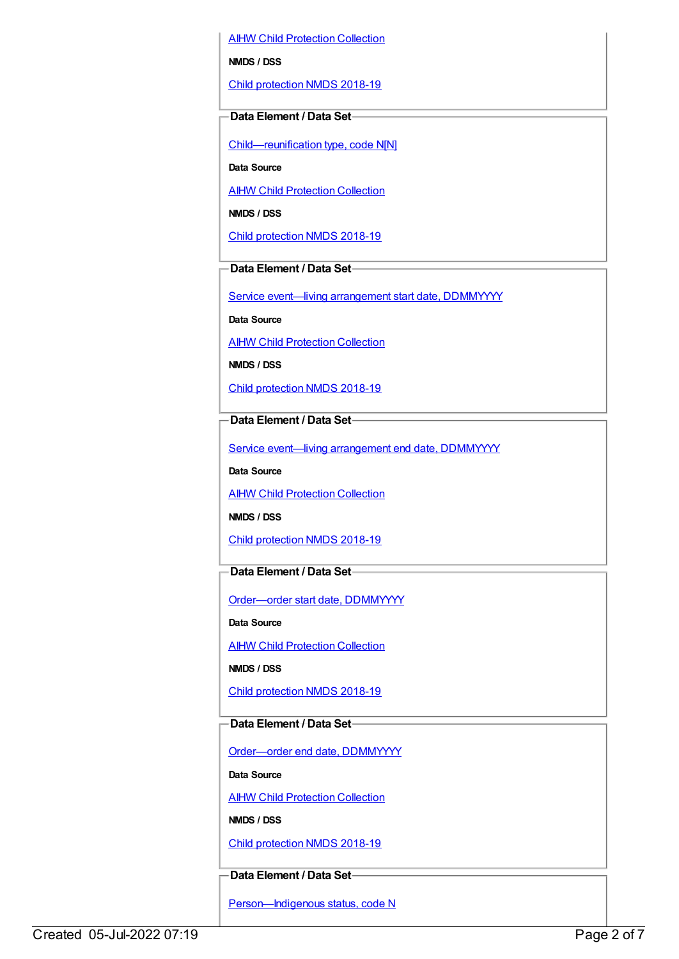AIHW Child [Protection](https://meteor.aihw.gov.au/content/489543) Collection

**NMDS / DSS**

Child [protection](https://meteor.aihw.gov.au/content/726951) NMDS 2018-19

## **Data Element / Data Set**

[Child—reunification](https://meteor.aihw.gov.au/content/737464) type, code N[N]

**Data Source**

**AIHW Child [Protection](https://meteor.aihw.gov.au/content/489543) Collection** 

**NMDS / DSS**

Child [protection](https://meteor.aihw.gov.au/content/726951) NMDS 2018-19

## **Data Element / Data Set**

Service event-living [arrangement](https://meteor.aihw.gov.au/content/474217) start date, DDMMYYYY

**Data Source**

AIHW Child [Protection](https://meteor.aihw.gov.au/content/489543) Collection

**NMDS / DSS**

Child [protection](https://meteor.aihw.gov.au/content/726951) NMDS 2018-19

## **Data Element / Data Set**

Service event—living [arrangement](https://meteor.aihw.gov.au/content/474223) end date, DDMMYYYY

**Data Source**

**AIHW Child [Protection](https://meteor.aihw.gov.au/content/489543) Collection** 

**NMDS / DSS**

Child [protection](https://meteor.aihw.gov.au/content/726951) NMDS 2018-19

### **Data Element / Data Set**

[Order—order](https://meteor.aihw.gov.au/content/536550) start date, DDMMYYYY

**Data Source**

**AIHW Child [Protection](https://meteor.aihw.gov.au/content/489543) Collection** 

**NMDS / DSS**

Child [protection](https://meteor.aihw.gov.au/content/726951) NMDS 2018-19

## **Data Element / Data Set**

[Order—order](https://meteor.aihw.gov.au/content/536554) end date, DDMMYYYY

**Data Source**

**AIHW Child [Protection](https://meteor.aihw.gov.au/content/489543) Collection** 

**NMDS / DSS**

Child [protection](https://meteor.aihw.gov.au/content/726951) NMDS 2018-19

### **Data Element / Data Set**

Person-Indigenous status, code N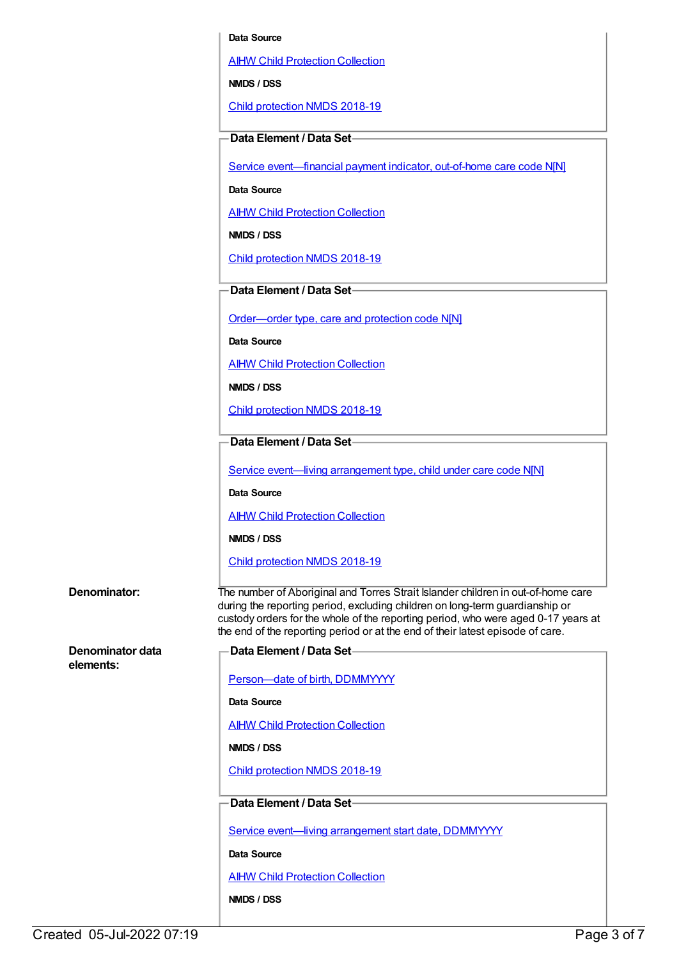#### **Data Source**

AIHW Child [Protection](https://meteor.aihw.gov.au/content/489543) Collection

**NMDS / DSS**

Child [protection](https://meteor.aihw.gov.au/content/726951) NMDS 2018-19

#### **Data Element / Data Set**

Service event-financial payment indicator, out-of-home care code N[N]

**Data Source**

AIHW Child [Protection](https://meteor.aihw.gov.au/content/489543) Collection

**NMDS / DSS**

Child [protection](https://meteor.aihw.gov.au/content/726951) NMDS 2018-19

#### **Data Element / Data Set**

[Order—order](https://meteor.aihw.gov.au/content/657300) type, care and protection code N[N]

**Data Source**

AIHW Child [Protection](https://meteor.aihw.gov.au/content/489543) Collection

**NMDS / DSS**

Child [protection](https://meteor.aihw.gov.au/content/726951) NMDS 2018-19

## **Data Element / Data Set**

Service event—living [arrangement](https://meteor.aihw.gov.au/content/689331) type, child under care code N[N]

**Data Source**

AIHW Child [Protection](https://meteor.aihw.gov.au/content/489543) Collection

**NMDS / DSS**

Child [protection](https://meteor.aihw.gov.au/content/726951) NMDS 2018-19

#### **Denominator:** The number of Aboriginal and Torres Strait Islander children in out-of-home care

**Denominator data**

**elements:**

during the reporting period, excluding children on long-term guardianship or custody orders for the whole of the reporting period, who were aged 0-17 years at the end of the reporting period or at the end of their latest episode of care. **Data Element / Data Set**

Person-date of birth, DDMMYYYY

**Data Source**

**AIHW Child [Protection](https://meteor.aihw.gov.au/content/489543) Collection** 

**NMDS / DSS**

Child [protection](https://meteor.aihw.gov.au/content/726951) NMDS 2018-19

## **Data Element / Data Set**

Service event-living [arrangement](https://meteor.aihw.gov.au/content/474217) start date, DDMMYYYY

**Data Source**

AIHW Child [Protection](https://meteor.aihw.gov.au/content/489543) Collection

**NMDS / DSS**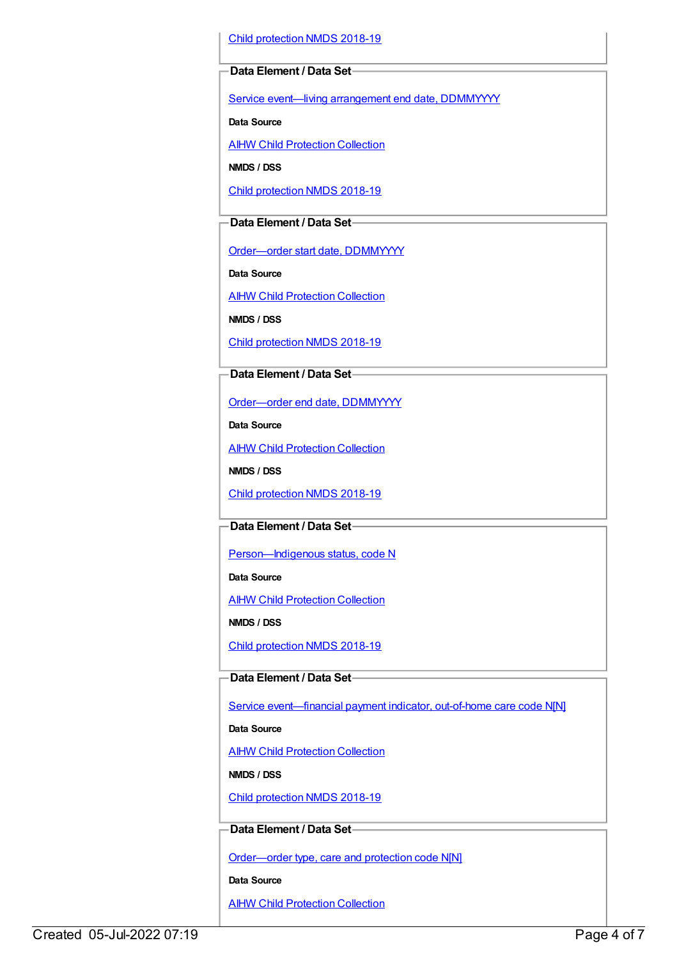Child [protection](https://meteor.aihw.gov.au/content/726951) NMDS 2018-19

#### **Data Element / Data Set**

Service event—living [arrangement](https://meteor.aihw.gov.au/content/474223) end date, DDMMYYYY

**Data Source**

**AIHW Child [Protection](https://meteor.aihw.gov.au/content/489543) Collection** 

**NMDS / DSS**

Child [protection](https://meteor.aihw.gov.au/content/726951) NMDS 2018-19

#### **Data Element / Data Set**

[Order—order](https://meteor.aihw.gov.au/content/536550) start date, DDMMYYYY

**Data Source**

AIHW Child [Protection](https://meteor.aihw.gov.au/content/489543) Collection

**NMDS / DSS**

Child [protection](https://meteor.aihw.gov.au/content/726951) NMDS 2018-19

## **Data Element / Data Set**

[Order—order](https://meteor.aihw.gov.au/content/536554) end date, DDMMYYYY

**Data Source**

AIHW Child [Protection](https://meteor.aihw.gov.au/content/489543) Collection

**NMDS / DSS**

Child [protection](https://meteor.aihw.gov.au/content/726951) NMDS 2018-19

## **Data Element / Data Set**

Person-Indigenous status, code N

**Data Source**

**AIHW Child [Protection](https://meteor.aihw.gov.au/content/489543) Collection** 

**NMDS / DSS**

Child [protection](https://meteor.aihw.gov.au/content/726951) NMDS 2018-19

### **Data Element / Data Set**

Service [event—financial](https://meteor.aihw.gov.au/content/652697) payment indicator, out-of-home care code N[N]

#### **Data Source**

AIHW Child [Protection](https://meteor.aihw.gov.au/content/489543) Collection

**NMDS / DSS**

Child [protection](https://meteor.aihw.gov.au/content/726951) NMDS 2018-19

### **Data Element / Data Set**

[Order—order](https://meteor.aihw.gov.au/content/657300) type, care and protection code N[N]

**Data Source**

**AIHW Child [Protection](https://meteor.aihw.gov.au/content/489543) Collection**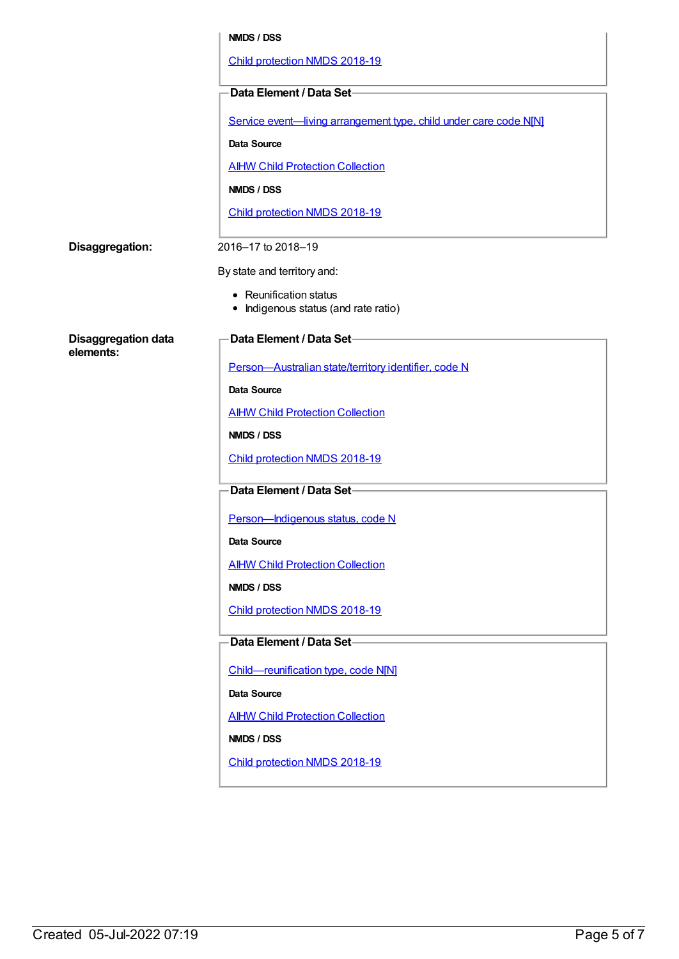|                                         | NMDS / DSS                                                        |
|-----------------------------------------|-------------------------------------------------------------------|
|                                         | Child protection NMDS 2018-19                                     |
|                                         | Data Element / Data Set-                                          |
|                                         | Service event-living arrangement type, child under care code N[N] |
|                                         | Data Source                                                       |
|                                         | <b>AIHW Child Protection Collection</b>                           |
|                                         | NMDS / DSS                                                        |
|                                         | Child protection NMDS 2018-19                                     |
| Disaggregation:                         | 2016-17 to 2018-19                                                |
|                                         | By state and territory and:                                       |
|                                         | • Reunification status<br>Indigenous status (and rate ratio)      |
| <b>Disaggregation data</b><br>elements: | <b>Data Element / Data Set-</b>                                   |
|                                         | Person-Australian state/territory identifier, code N              |
|                                         | <b>Data Source</b>                                                |
|                                         | <b>AIHW Child Protection Collection</b>                           |
|                                         | NMDS / DSS                                                        |
|                                         | Child protection NMDS 2018-19                                     |
|                                         | Data Element / Data Set-                                          |
|                                         | Person-Indigenous status, code N                                  |
|                                         | Data Source                                                       |
|                                         | <b>AIHW Child Protection Collection</b>                           |
|                                         | NMDS / DSS                                                        |
|                                         | Child protection NMDS 2018-19                                     |
|                                         | Data Element / Data Set-                                          |
|                                         | Child-reunification type, code N[N]                               |
|                                         | Data Source                                                       |
|                                         | <b>AIHW Child Protection Collection</b>                           |
|                                         | NMDS / DSS                                                        |
|                                         | Child protection NMDS 2018-19                                     |
|                                         |                                                                   |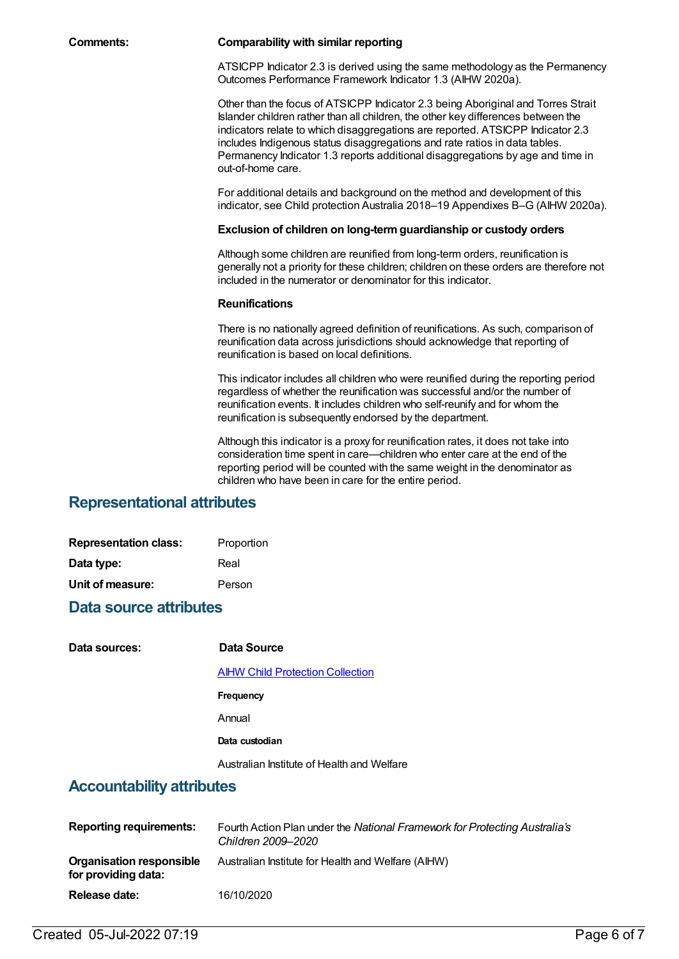#### **Comments: Comparability with similar reporting**

ATSICPP Indicator 2.3 is derived using the same methodology as the Permanency Outcomes Performance Framework Indicator 1.3 (AIHW 2020a).

Other than the focus of ATSICPP Indicator 2.3 being Aboriginal and Torres Strait Islander children rather than all children, the other key differences between the indicators relate to which disaggregations are reported. ATSICPP Indicator 2.3 includes Indigenous status disaggregations and rate ratios in data tables. Permanency Indicator 1.3 reports additional disaggregations by age and time in out-of-home care.

For additional details and background on the method and development of this indicator, see Child protection Australia 2018–19 Appendixes B–G (AIHW 2020a).

#### **Exclusion of children on long-termguardianship or custody orders**

Although some children are reunified from long-term orders, reunification is generally not a priority for these children; children on these orders are therefore not included in the numerator or denominator for this indicator.

#### **Reunifications**

There is no nationally agreed definition of reunifications. As such, comparison of reunification data across jurisdictions should acknowledge that reporting of reunification is based on local definitions.

This indicator includes all children who were reunified during the reporting period regardless of whether the reunification was successful and/or the number of reunification events. It includes children who self-reunify and for whom the reunification is subsequently endorsed by the department.

Although this indicator is a proxy for reunification rates, it does not take into consideration time spent in care—children who enter care at the end of the reporting period will be counted with the same weight in the denominator as children who have been in care for the entire period.

## **Representational attributes**

| <b>Representation class:</b> | Proportion |
|------------------------------|------------|
| Data type:                   | Real       |
| Unit of measure:             | Person     |

## **Data source attributes**

| Data sources:                    | Data Source                                |
|----------------------------------|--------------------------------------------|
|                                  | <b>AIHW Child Protection Collection</b>    |
|                                  | Frequency                                  |
|                                  | Annual                                     |
|                                  | Data custodian                             |
|                                  | Australian Institute of Health and Welfare |
| <b>Accountability attributes</b> |                                            |

| <b>Reporting requirements:</b>                  | Fourth Action Plan under the National Framework for Protecting Australia's<br>Children 2009–2020 |
|-------------------------------------------------|--------------------------------------------------------------------------------------------------|
| Organisation responsible<br>for providing data: | Australian Institute for Health and Welfare (AIHW)                                               |
| Release date:                                   | 16/10/2020                                                                                       |